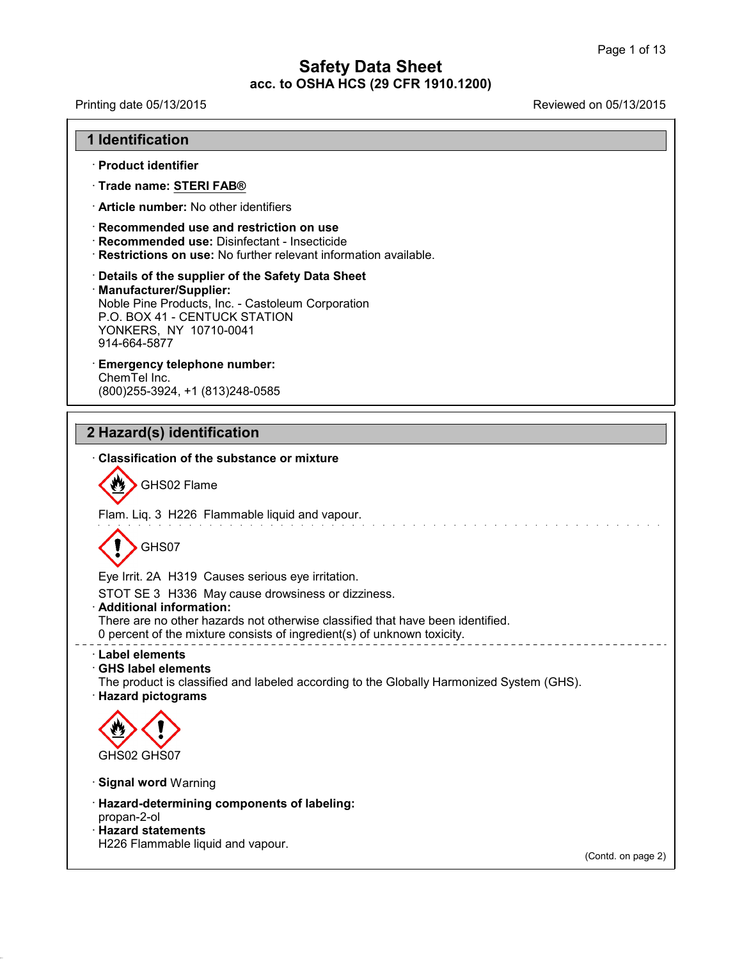Printing date 05/13/2015 Reviewed on 05/13/2015

| <b>1 Identification</b> |  |
|-------------------------|--|
|-------------------------|--|

- · **Product identifier**
- · **Trade name: STERI FAB®**
- · **Article number:** No other identifiers
- · **Recommended use and restriction on use**
- · **Recommended use:** Disinfectant Insecticide
- · **Restrictions on use:** No further relevant information available.
- · **Details of the supplier of the Safety Data Sheet** · **Manufacturer/Supplier:** Noble Pine Products, Inc. - Castoleum Corporation P.O. BOX 41 - CENTUCK STATION YONKERS, NY 10710-0041

914-664-5877 · **Emergency telephone number:**

ChemTel Inc. (800)255-3924, +1 (813)248-0585

## **2 Hazard(s) identification**

## · **Classification of the substance ormixture**



Flam. Liq. 3 H226 Flammable liquid and vapour.

GHS07

Eye Irrit. 2A H319 Causes serious eye irritation.

STOT SE 3 H336 May cause drowsiness or dizziness.

#### · **Additional information:**

There are no other hazards not otherwise classified that have been identified.

0 percent of the mixture consists of ingredient(s) of unknown toxicity.

## · **Label elements**

· **GHS label elements** The product is classified and labeled according to the Globally Harmonized System (GHS). · **Hazard pictograms**



- · **Signal word** Warning
- · **Hazard-determining components of labeling:**
- propan-2-ol

40.1.5

· **Hazard statements** H226 Flammable liquid and vapour.

(Contd. on page 2)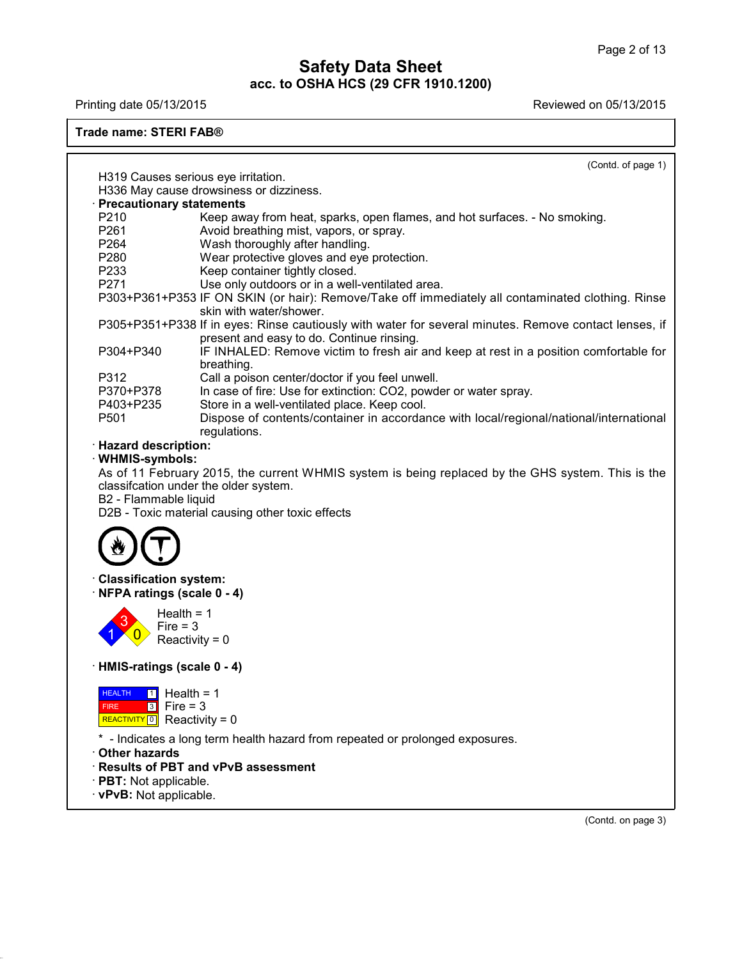40.1.5

Printing date 05/13/2015 **Printing date 05/13/2015** 

#### **Trade name: STERI FAB®**

| H319 Causes serious eye irritation.<br>H336 May cause drowsiness or dizziness.<br><b>Precautionary statements</b><br>P210<br>Keep away from heat, sparks, open flames, and hot surfaces. - No smoking.<br>P261<br>Avoid breathing mist, vapors, or spray.<br>P264<br>Wash thoroughly after handling.<br>P280<br>Wear protective gloves and eye protection.<br>P233<br>Keep container tightly closed.<br>P271<br>Use only outdoors or in a well-ventilated area.<br>P303+P361+P353 IF ON SKIN (or hair): Remove/Take off immediately all contaminated clothing. Rinse<br>skin with water/shower.<br>P305+P351+P338 If in eyes: Rinse cautiously with water for several minutes. Remove contact lenses, if<br>present and easy to do. Continue rinsing.<br>P304+P340<br>IF INHALED: Remove victim to fresh air and keep at rest in a position comfortable for<br>breathing.<br>P312<br>Call a poison center/doctor if you feel unwell.<br>In case of fire: Use for extinction: CO2, powder or water spray.<br>P370+P378<br>P403+P235<br>Store in a well-ventilated place. Keep cool.<br>P <sub>501</sub><br>Dispose of contents/container in accordance with local/regional/national/international<br>regulations.<br><b>Hazard description:</b><br>· WHMIS-symbols:<br>As of 11 February 2015, the current WHMIS system is being replaced by the GHS system. This is the<br>classifcation under the older system.<br>B2 - Flammable liquid<br>D2B - Toxic material causing other toxic effects<br><b>Classification system:</b><br>NFPA ratings (scale 0 - 4)<br>Health = $1$<br>Fire $= 3$<br>Reactivity = $0$<br>HMIS-ratings (scale 0 - 4)<br>$H = 1$<br>$3$ Fire = 3<br><b>FIRE</b><br>REACTIVITY 0 Reactivity = $0$<br>* - Indicates a long term health hazard from repeated or prolonged exposures.<br>· Results of PBT and vPvB assessment<br>· PBT: Not applicable.<br>· vPvB: Not applicable. |               | (Contd. of page 1) |
|-------------------------------------------------------------------------------------------------------------------------------------------------------------------------------------------------------------------------------------------------------------------------------------------------------------------------------------------------------------------------------------------------------------------------------------------------------------------------------------------------------------------------------------------------------------------------------------------------------------------------------------------------------------------------------------------------------------------------------------------------------------------------------------------------------------------------------------------------------------------------------------------------------------------------------------------------------------------------------------------------------------------------------------------------------------------------------------------------------------------------------------------------------------------------------------------------------------------------------------------------------------------------------------------------------------------------------------------------------------------------------------------------------------------------------------------------------------------------------------------------------------------------------------------------------------------------------------------------------------------------------------------------------------------------------------------------------------------------------------------------------------------------------------------------------------------------------------------------------------------------------------------------------|---------------|--------------------|
|                                                                                                                                                                                                                                                                                                                                                                                                                                                                                                                                                                                                                                                                                                                                                                                                                                                                                                                                                                                                                                                                                                                                                                                                                                                                                                                                                                                                                                                                                                                                                                                                                                                                                                                                                                                                                                                                                                       |               |                    |
|                                                                                                                                                                                                                                                                                                                                                                                                                                                                                                                                                                                                                                                                                                                                                                                                                                                                                                                                                                                                                                                                                                                                                                                                                                                                                                                                                                                                                                                                                                                                                                                                                                                                                                                                                                                                                                                                                                       |               |                    |
|                                                                                                                                                                                                                                                                                                                                                                                                                                                                                                                                                                                                                                                                                                                                                                                                                                                                                                                                                                                                                                                                                                                                                                                                                                                                                                                                                                                                                                                                                                                                                                                                                                                                                                                                                                                                                                                                                                       |               |                    |
|                                                                                                                                                                                                                                                                                                                                                                                                                                                                                                                                                                                                                                                                                                                                                                                                                                                                                                                                                                                                                                                                                                                                                                                                                                                                                                                                                                                                                                                                                                                                                                                                                                                                                                                                                                                                                                                                                                       |               |                    |
|                                                                                                                                                                                                                                                                                                                                                                                                                                                                                                                                                                                                                                                                                                                                                                                                                                                                                                                                                                                                                                                                                                                                                                                                                                                                                                                                                                                                                                                                                                                                                                                                                                                                                                                                                                                                                                                                                                       |               |                    |
|                                                                                                                                                                                                                                                                                                                                                                                                                                                                                                                                                                                                                                                                                                                                                                                                                                                                                                                                                                                                                                                                                                                                                                                                                                                                                                                                                                                                                                                                                                                                                                                                                                                                                                                                                                                                                                                                                                       |               |                    |
|                                                                                                                                                                                                                                                                                                                                                                                                                                                                                                                                                                                                                                                                                                                                                                                                                                                                                                                                                                                                                                                                                                                                                                                                                                                                                                                                                                                                                                                                                                                                                                                                                                                                                                                                                                                                                                                                                                       |               |                    |
|                                                                                                                                                                                                                                                                                                                                                                                                                                                                                                                                                                                                                                                                                                                                                                                                                                                                                                                                                                                                                                                                                                                                                                                                                                                                                                                                                                                                                                                                                                                                                                                                                                                                                                                                                                                                                                                                                                       |               |                    |
|                                                                                                                                                                                                                                                                                                                                                                                                                                                                                                                                                                                                                                                                                                                                                                                                                                                                                                                                                                                                                                                                                                                                                                                                                                                                                                                                                                                                                                                                                                                                                                                                                                                                                                                                                                                                                                                                                                       |               |                    |
|                                                                                                                                                                                                                                                                                                                                                                                                                                                                                                                                                                                                                                                                                                                                                                                                                                                                                                                                                                                                                                                                                                                                                                                                                                                                                                                                                                                                                                                                                                                                                                                                                                                                                                                                                                                                                                                                                                       |               |                    |
|                                                                                                                                                                                                                                                                                                                                                                                                                                                                                                                                                                                                                                                                                                                                                                                                                                                                                                                                                                                                                                                                                                                                                                                                                                                                                                                                                                                                                                                                                                                                                                                                                                                                                                                                                                                                                                                                                                       |               |                    |
|                                                                                                                                                                                                                                                                                                                                                                                                                                                                                                                                                                                                                                                                                                                                                                                                                                                                                                                                                                                                                                                                                                                                                                                                                                                                                                                                                                                                                                                                                                                                                                                                                                                                                                                                                                                                                                                                                                       |               |                    |
|                                                                                                                                                                                                                                                                                                                                                                                                                                                                                                                                                                                                                                                                                                                                                                                                                                                                                                                                                                                                                                                                                                                                                                                                                                                                                                                                                                                                                                                                                                                                                                                                                                                                                                                                                                                                                                                                                                       |               |                    |
|                                                                                                                                                                                                                                                                                                                                                                                                                                                                                                                                                                                                                                                                                                                                                                                                                                                                                                                                                                                                                                                                                                                                                                                                                                                                                                                                                                                                                                                                                                                                                                                                                                                                                                                                                                                                                                                                                                       |               |                    |
|                                                                                                                                                                                                                                                                                                                                                                                                                                                                                                                                                                                                                                                                                                                                                                                                                                                                                                                                                                                                                                                                                                                                                                                                                                                                                                                                                                                                                                                                                                                                                                                                                                                                                                                                                                                                                                                                                                       |               |                    |
|                                                                                                                                                                                                                                                                                                                                                                                                                                                                                                                                                                                                                                                                                                                                                                                                                                                                                                                                                                                                                                                                                                                                                                                                                                                                                                                                                                                                                                                                                                                                                                                                                                                                                                                                                                                                                                                                                                       |               |                    |
|                                                                                                                                                                                                                                                                                                                                                                                                                                                                                                                                                                                                                                                                                                                                                                                                                                                                                                                                                                                                                                                                                                                                                                                                                                                                                                                                                                                                                                                                                                                                                                                                                                                                                                                                                                                                                                                                                                       |               |                    |
|                                                                                                                                                                                                                                                                                                                                                                                                                                                                                                                                                                                                                                                                                                                                                                                                                                                                                                                                                                                                                                                                                                                                                                                                                                                                                                                                                                                                                                                                                                                                                                                                                                                                                                                                                                                                                                                                                                       |               |                    |
|                                                                                                                                                                                                                                                                                                                                                                                                                                                                                                                                                                                                                                                                                                                                                                                                                                                                                                                                                                                                                                                                                                                                                                                                                                                                                                                                                                                                                                                                                                                                                                                                                                                                                                                                                                                                                                                                                                       |               |                    |
|                                                                                                                                                                                                                                                                                                                                                                                                                                                                                                                                                                                                                                                                                                                                                                                                                                                                                                                                                                                                                                                                                                                                                                                                                                                                                                                                                                                                                                                                                                                                                                                                                                                                                                                                                                                                                                                                                                       |               |                    |
|                                                                                                                                                                                                                                                                                                                                                                                                                                                                                                                                                                                                                                                                                                                                                                                                                                                                                                                                                                                                                                                                                                                                                                                                                                                                                                                                                                                                                                                                                                                                                                                                                                                                                                                                                                                                                                                                                                       |               |                    |
|                                                                                                                                                                                                                                                                                                                                                                                                                                                                                                                                                                                                                                                                                                                                                                                                                                                                                                                                                                                                                                                                                                                                                                                                                                                                                                                                                                                                                                                                                                                                                                                                                                                                                                                                                                                                                                                                                                       |               |                    |
|                                                                                                                                                                                                                                                                                                                                                                                                                                                                                                                                                                                                                                                                                                                                                                                                                                                                                                                                                                                                                                                                                                                                                                                                                                                                                                                                                                                                                                                                                                                                                                                                                                                                                                                                                                                                                                                                                                       |               |                    |
|                                                                                                                                                                                                                                                                                                                                                                                                                                                                                                                                                                                                                                                                                                                                                                                                                                                                                                                                                                                                                                                                                                                                                                                                                                                                                                                                                                                                                                                                                                                                                                                                                                                                                                                                                                                                                                                                                                       |               |                    |
|                                                                                                                                                                                                                                                                                                                                                                                                                                                                                                                                                                                                                                                                                                                                                                                                                                                                                                                                                                                                                                                                                                                                                                                                                                                                                                                                                                                                                                                                                                                                                                                                                                                                                                                                                                                                                                                                                                       |               |                    |
|                                                                                                                                                                                                                                                                                                                                                                                                                                                                                                                                                                                                                                                                                                                                                                                                                                                                                                                                                                                                                                                                                                                                                                                                                                                                                                                                                                                                                                                                                                                                                                                                                                                                                                                                                                                                                                                                                                       |               |                    |
|                                                                                                                                                                                                                                                                                                                                                                                                                                                                                                                                                                                                                                                                                                                                                                                                                                                                                                                                                                                                                                                                                                                                                                                                                                                                                                                                                                                                                                                                                                                                                                                                                                                                                                                                                                                                                                                                                                       |               |                    |
|                                                                                                                                                                                                                                                                                                                                                                                                                                                                                                                                                                                                                                                                                                                                                                                                                                                                                                                                                                                                                                                                                                                                                                                                                                                                                                                                                                                                                                                                                                                                                                                                                                                                                                                                                                                                                                                                                                       |               |                    |
|                                                                                                                                                                                                                                                                                                                                                                                                                                                                                                                                                                                                                                                                                                                                                                                                                                                                                                                                                                                                                                                                                                                                                                                                                                                                                                                                                                                                                                                                                                                                                                                                                                                                                                                                                                                                                                                                                                       |               |                    |
|                                                                                                                                                                                                                                                                                                                                                                                                                                                                                                                                                                                                                                                                                                                                                                                                                                                                                                                                                                                                                                                                                                                                                                                                                                                                                                                                                                                                                                                                                                                                                                                                                                                                                                                                                                                                                                                                                                       |               |                    |
|                                                                                                                                                                                                                                                                                                                                                                                                                                                                                                                                                                                                                                                                                                                                                                                                                                                                                                                                                                                                                                                                                                                                                                                                                                                                                                                                                                                                                                                                                                                                                                                                                                                                                                                                                                                                                                                                                                       |               |                    |
|                                                                                                                                                                                                                                                                                                                                                                                                                                                                                                                                                                                                                                                                                                                                                                                                                                                                                                                                                                                                                                                                                                                                                                                                                                                                                                                                                                                                                                                                                                                                                                                                                                                                                                                                                                                                                                                                                                       |               |                    |
|                                                                                                                                                                                                                                                                                                                                                                                                                                                                                                                                                                                                                                                                                                                                                                                                                                                                                                                                                                                                                                                                                                                                                                                                                                                                                                                                                                                                                                                                                                                                                                                                                                                                                                                                                                                                                                                                                                       |               |                    |
|                                                                                                                                                                                                                                                                                                                                                                                                                                                                                                                                                                                                                                                                                                                                                                                                                                                                                                                                                                                                                                                                                                                                                                                                                                                                                                                                                                                                                                                                                                                                                                                                                                                                                                                                                                                                                                                                                                       |               |                    |
|                                                                                                                                                                                                                                                                                                                                                                                                                                                                                                                                                                                                                                                                                                                                                                                                                                                                                                                                                                                                                                                                                                                                                                                                                                                                                                                                                                                                                                                                                                                                                                                                                                                                                                                                                                                                                                                                                                       | Other hazards |                    |
|                                                                                                                                                                                                                                                                                                                                                                                                                                                                                                                                                                                                                                                                                                                                                                                                                                                                                                                                                                                                                                                                                                                                                                                                                                                                                                                                                                                                                                                                                                                                                                                                                                                                                                                                                                                                                                                                                                       |               |                    |
|                                                                                                                                                                                                                                                                                                                                                                                                                                                                                                                                                                                                                                                                                                                                                                                                                                                                                                                                                                                                                                                                                                                                                                                                                                                                                                                                                                                                                                                                                                                                                                                                                                                                                                                                                                                                                                                                                                       |               |                    |
|                                                                                                                                                                                                                                                                                                                                                                                                                                                                                                                                                                                                                                                                                                                                                                                                                                                                                                                                                                                                                                                                                                                                                                                                                                                                                                                                                                                                                                                                                                                                                                                                                                                                                                                                                                                                                                                                                                       |               |                    |

(Contd. on page 3)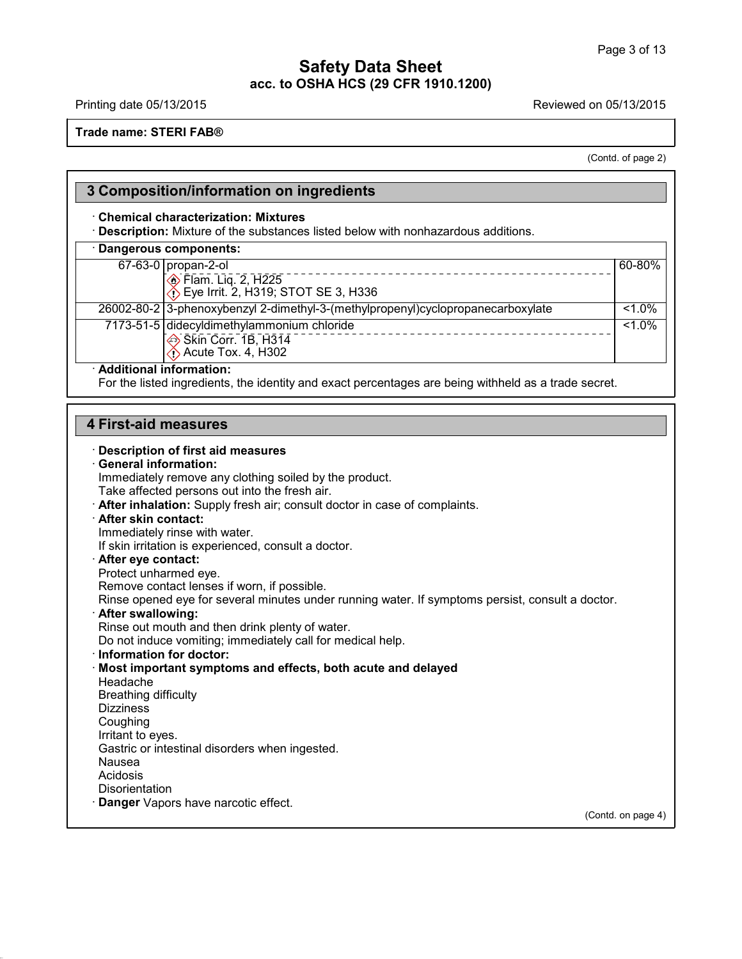40.1.5

Printing date 05/13/2015 **Printing date 05/13/2015** 

**Trade name: STERI FAB®**

(Contd. of page 2)

٦

|                             | 3 Composition/information on ingredients                                                             |          |
|-----------------------------|------------------------------------------------------------------------------------------------------|----------|
|                             | <b>Chemical characterization: Mixtures</b>                                                           |          |
|                             | Description: Mixture of the substances listed below with nonhazardous additions.                     |          |
|                             | · Dangerous components:                                                                              |          |
|                             | 67-63-0 propan-2-ol                                                                                  | 60-80%   |
|                             | <b>Elam.</b> Liq. 2, H225                                                                            |          |
|                             | $\diamondsuit$ Eye Irrit. 2, H319; STOT SE 3, H336                                                   |          |
|                             | 26002-80-2 3-phenoxybenzyl 2-dimethyl-3-(methylpropenyl)cyclopropanecarboxylate                      | $51.0\%$ |
|                             | 7173-51-5 didecyldimethylammonium chloride                                                           | $1.0\%$  |
|                             | Skin Corr. 1B, H314                                                                                  |          |
|                             | $\leftrightarrow$ Acute Tox. 4, H302                                                                 |          |
| · Additional information:   |                                                                                                      |          |
|                             | For the listed ingredients, the identity and exact percentages are being withheld as a trade secret. |          |
|                             |                                                                                                      |          |
| <b>4 First-aid measures</b> |                                                                                                      |          |
|                             |                                                                                                      |          |
|                             | <b>Description of first aid measures</b>                                                             |          |
| <b>General information:</b> |                                                                                                      |          |
|                             | Immediately remove any clothing soiled by the product.                                               |          |
|                             | Take affected persons out into the fresh air.                                                        |          |
|                             | After inhalation: Supply fresh air; consult doctor in case of complaints.                            |          |
| After skin contact:         |                                                                                                      |          |
|                             | Immediately rinse with water.                                                                        |          |
|                             | If skin irritation is experienced, consult a doctor.                                                 |          |
| After eye contact:          |                                                                                                      |          |
| Protect unharmed eye.       |                                                                                                      |          |
|                             | Remove contact lenses if worn, if possible.                                                          |          |
|                             | Rinse opened eye for several minutes under running water. If symptoms persist, consult a doctor.     |          |
| · After swallowing:         |                                                                                                      |          |
|                             | Rinse out mouth and then drink plenty of water.                                                      |          |
|                             | Do not induce vomiting; immediately call for medical help.                                           |          |
| · Information for doctor:   |                                                                                                      |          |
|                             | Most important symptoms and effects, both acute and delayed                                          |          |
| Headache                    |                                                                                                      |          |
| <b>Breathing difficulty</b> |                                                                                                      |          |
| <b>Dizziness</b>            |                                                                                                      |          |
| Coughing                    |                                                                                                      |          |
| Irritant to eyes.           |                                                                                                      |          |
|                             | Gastric or intestinal disorders when ingested.                                                       |          |
| Nausea<br>Acidosis          |                                                                                                      |          |
| Disorientation              |                                                                                                      |          |
|                             | Danger Vapors have narcotic effect.                                                                  |          |
|                             |                                                                                                      |          |

(Contd. on page 4)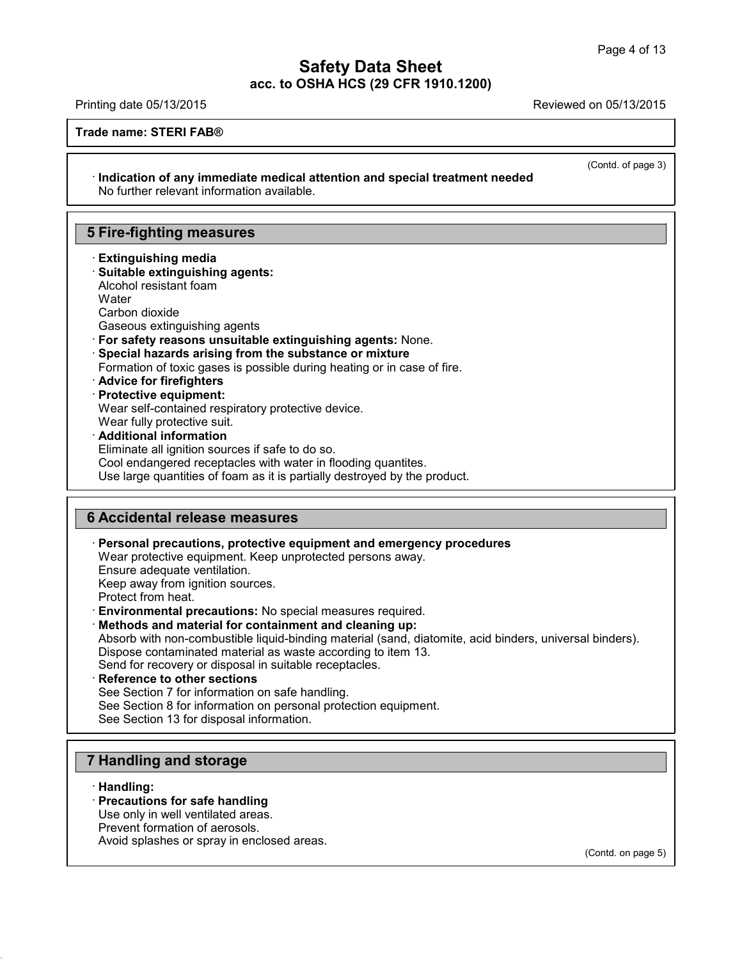(Contd. of page 3)

## **Safety Data Sheet acc. to OSHA HCS (29 CFR 1910.1200)**

Printing date 05/13/2015 Reviewed on 05/13/2015

**Trade name: STERI FAB®**

· **Indication of any immediate medical attention and special treatment needed** No further relevant information available.

## **5 Fire-fighting measures**

· **Extinguishing media** · **Suitable extinguishing agents:** Alcohol resistant foam **Water** Carbon dioxide Gaseous extinguishing agents · **For safety reasons unsuitable extinguishing agents:** None. · **Special hazards arising from the substance or mixture** Formation of toxic gases is possible during heating or in case of fire. · **Advice for firefighters** · **Protective equipment:** Wear self-contained respiratory protective device. Wear fully protective suit. · **Additional information** Eliminate all ignition sources if safe to do so.

Cool endangered receptacles with water in flooding quantites. Use large quantities of foam as it is partially destroyed by the product.

## **6 Accidental release measures**

· **Personal precautions, protective equipment and emergency procedures**

Wear protective equipment. Keep unprotected persons away.

Ensure adequate ventilation.

Keep away from ignition sources.

Protect from heat.

· **Environmental precautions:** No special measures required.

· **Methods and material for containment and cleaning up:**

Absorb with non-combustible liquid-binding material (sand, diatomite, acid binders, universal binders). Dispose contaminated material as waste according to item 13.

Send for recovery or disposal in suitable receptacles.

· **Reference to other sections**

See Section 7 for information on safe handling.

See Section 8 for information on personal protection equipment.

See Section 13 for disposal information.

## **7 Handling and storage**

· **Handling:**

40.1.5

#### · **Precautions for safe handling**

Use only in well ventilated areas.

Prevent formation of aerosols.

Avoid splashes or spray in enclosed areas.

(Contd. on page 5)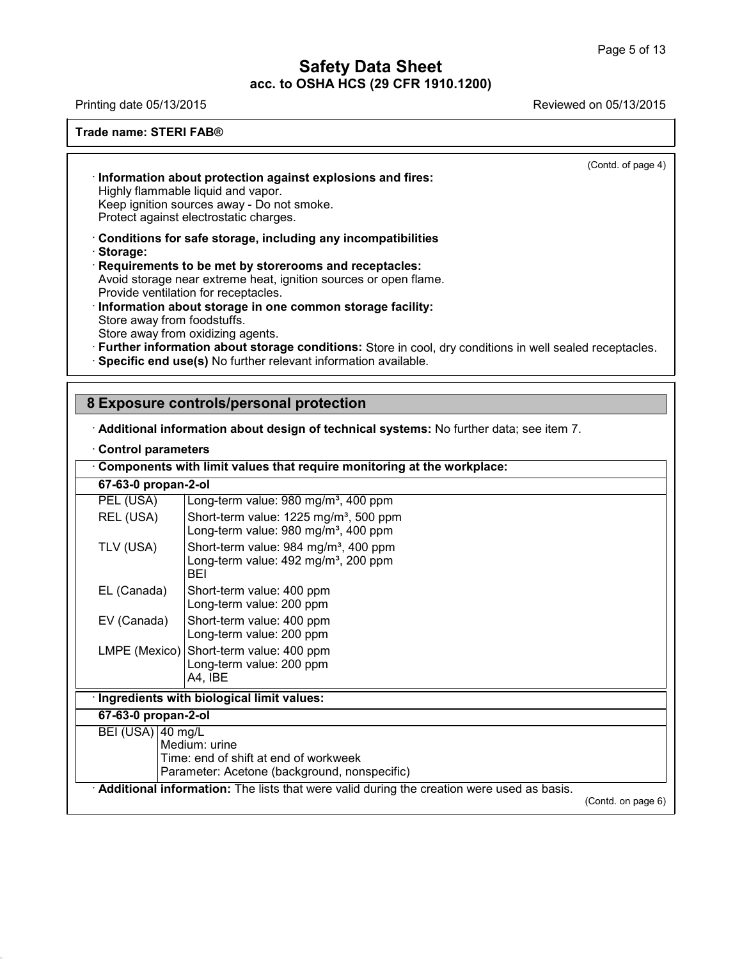Printing date 05/13/2015 Reviewed on 05/13/2015

#### **Trade name: STERI FAB®**

(Contd. of page 4)

· **Information about protection against explosions and fires:** Highly flammable liquid and vapor. Keep ignition sources away - Do not smoke. Protect against electrostatic charges.

· **Conditions for safe storage, including any incompatibilities**

· **Storage:**

· **Requirements to be met by storerooms and receptacles:** Avoid storage near extreme heat, ignition sources or open flame. Provide ventilation for receptacles.

· **Information about storage in one common storage facility:** Store away from foodstuffs. Store away from oxidizing agents.

- · **Further information about storage conditions:** Store in cool, dry conditions in well sealed receptacles.
- · **Specific end use(s)** No further relevant information available.

## **8 Exposure controls/personal protection**

· **Additional information about design of technical systems:** No further data; see item 7.

#### · **Control parameters**

40.1.5

|                              | Components with limit values that require monitoring at the workplace:                                       |                    |
|------------------------------|--------------------------------------------------------------------------------------------------------------|--------------------|
| 67-63-0 propan-2-ol          |                                                                                                              |                    |
| PEL (USA)                    | Long-term value: 980 mg/m <sup>3</sup> , 400 ppm                                                             |                    |
| REL (USA)                    | Short-term value: 1225 mg/m <sup>3</sup> , 500 ppm<br>Long-term value: 980 mg/m <sup>3</sup> , 400 ppm       |                    |
| TLV (USA)                    | Short-term value: 984 mg/m <sup>3</sup> , 400 ppm<br>Long-term value: 492 mg/m <sup>3</sup> , 200 ppm<br>BEI |                    |
| EL (Canada)                  | Short-term value: 400 ppm<br>Long-term value: 200 ppm                                                        |                    |
| EV (Canada)                  | Short-term value: 400 ppm<br>Long-term value: 200 ppm                                                        |                    |
|                              | LMPE (Mexico) Short-term value: 400 ppm<br>Long-term value: 200 ppm<br>A4, IBE                               |                    |
|                              | Ingredients with biological limit values:                                                                    |                    |
| 67-63-0 propan-2-ol          |                                                                                                              |                    |
| BEI (USA) $ 40 \text{ mg/L}$ | Medium: urine<br>Time: end of shift at end of workweek<br>Parameter: Acetone (background, nonspecific)       |                    |
|                              | Additional information: The lists that were valid during the creation were used as basis.                    | (Contd. on page 6) |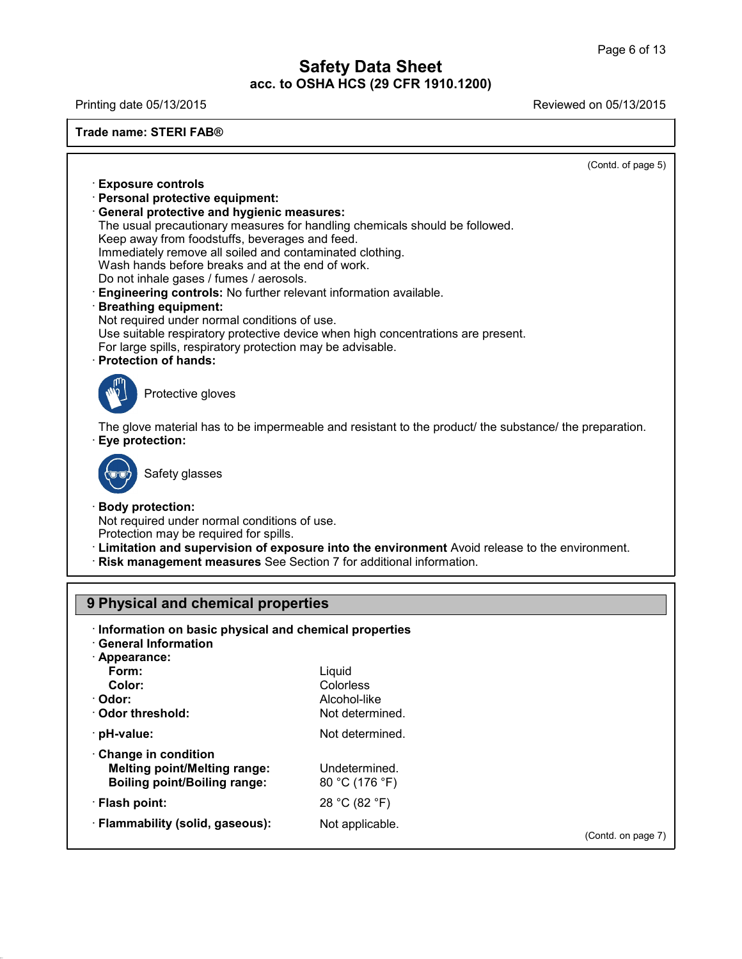Printing date 05/13/2015 Reviewed on 05/13/2015

**Trade name: STERI FAB®** (Contd. of page 5) · **Exposure controls** · **Personal protective equipment:** · **General protective and hygienic measures:** The usual precautionary measures for handling chemicals should be followed. Keep away from foodstuffs, beverages and feed. Immediately remove all soiled and contaminated clothing. Wash hands before breaks and at the end of work. Do not inhale gases / fumes / aerosols. · **Engineering controls:** No further relevant information available. · **Breathing equipment:** Not required under normal conditions of use. Use suitable respiratory protective device when high concentrations are present. For large spills, respiratory protection may be advisable. · **Protection of hands:** Protective gloves The glove material has to be impermeable and resistant to the product/ the substance/ the preparation. · **Eye protection:** Safety glasses · **Body protection:** Not required under normal conditions of use. Protection may be required for spills. · **Limitation and supervision of exposure into the environment** Avoid release to the environment. · **Risk management measures** See Section 7 for additional information.

## **9 Physical and chemical properties**

40.1.5

| · Appearance:                       |                 |                    |
|-------------------------------------|-----------------|--------------------|
| Form:                               | Liguid          |                    |
| Color:                              | Colorless       |                    |
| · Odor:                             | Alcohol-like    |                    |
| Odor threshold:                     | Not determined. |                    |
| · pH-value:                         | Not determined. |                    |
| Change in condition                 |                 |                    |
| <b>Melting point/Melting range:</b> | Undetermined.   |                    |
| <b>Boiling point/Boiling range:</b> | 80 °C (176 °F)  |                    |
| · Flash point:                      | 28 °C (82 °F)   |                    |
| · Flammability (solid, gaseous):    | Not applicable. |                    |
|                                     |                 | (Contd. on page 7) |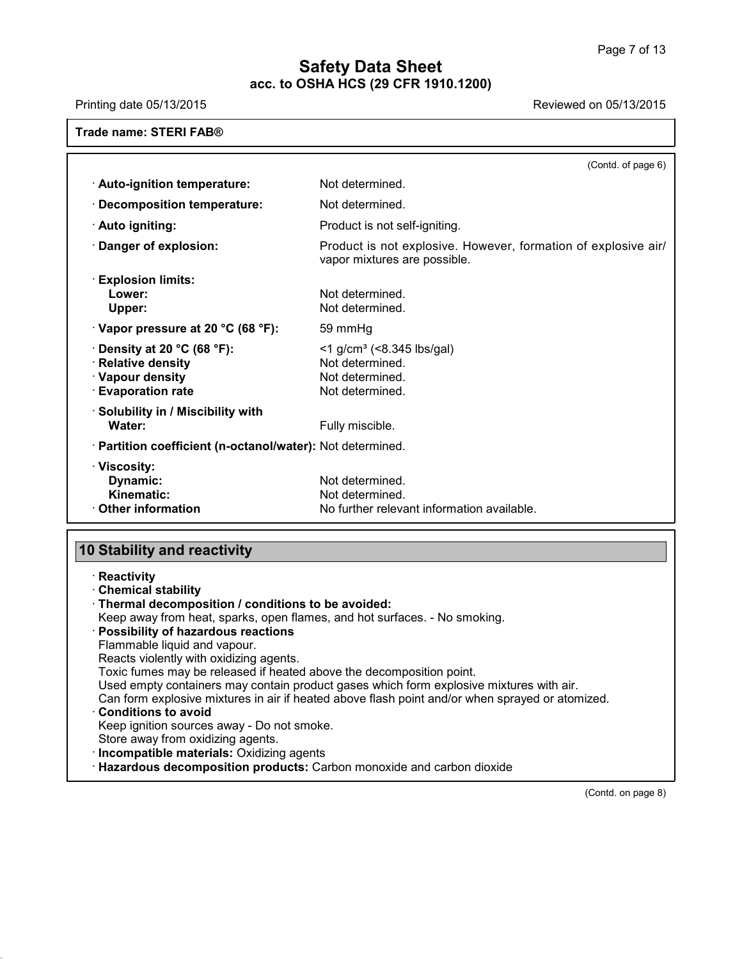Printing date 05/13/2015 **Printing date 05/13/2015** 

| Trade name: STERI FAB® |  |
|------------------------|--|
|                        |  |

|                                                                                                              | (Contd. of page 6)                                                                                    |
|--------------------------------------------------------------------------------------------------------------|-------------------------------------------------------------------------------------------------------|
| · Auto-ignition temperature:                                                                                 | Not determined.                                                                                       |
| $\cdot$ Decomposition temperature:                                                                           | Not determined.                                                                                       |
| · Auto igniting:                                                                                             | Product is not self-igniting.                                                                         |
| $\cdot$ Danger of explosion:                                                                                 | Product is not explosive. However, formation of explosive air/<br>vapor mixtures are possible.        |
| $\cdot$ Explosion limits:<br>Lower:<br>Upper:                                                                | Not determined.<br>Not determined.                                                                    |
| $\cdot$ Vapor pressure at 20 °C (68 °F):                                                                     | 59 mmHg                                                                                               |
| $\cdot$ Density at 20 °C (68 °F):<br>$\cdot$ Relative density<br>· Vapour density<br><b>Evaporation rate</b> | $<$ 1 g/cm <sup>3</sup> ( $<$ 8.345 lbs/gal)<br>Not determined.<br>Not determined.<br>Not determined. |
| · Solubility in / Miscibility with<br>Water:                                                                 | Fully miscible.                                                                                       |
| · Partition coefficient (n-octanol/water): Not determined.                                                   |                                                                                                       |
| · Viscosity:<br>Dynamic:<br>Kinematic:<br>$\cdot$ Other information                                          | Not determined.<br>Not determined.<br>No further relevant information available.                      |

# **10 Stability and reactivity**

40.1.5

| $\cdot$ Reactivity                                                                              |
|-------------------------------------------------------------------------------------------------|
| <b>Chemical stability</b>                                                                       |
| · Thermal decomposition / conditions to be avoided:                                             |
| Keep away from heat, sparks, open flames, and hot surfaces. - No smoking.                       |
| <b>Possibility of hazardous reactions</b>                                                       |
| Flammable liquid and vapour.                                                                    |
| Reacts violently with oxidizing agents.                                                         |
| Toxic fumes may be released if heated above the decomposition point.                            |
| Used empty containers may contain product gases which form explosive mixtures with air.         |
| Can form explosive mixtures in air if heated above flash point and/or when sprayed or atomized. |
| <b>Conditions to avoid</b>                                                                      |
| Keep ignition sources away - Do not smoke.                                                      |
| Store away from oxidizing agents.                                                               |
| · Incompatible materials: Oxidizing agents                                                      |
| · Hazardous decomposition products: Carbon monoxide and carbon dioxide                          |
|                                                                                                 |

(Contd. on page 8)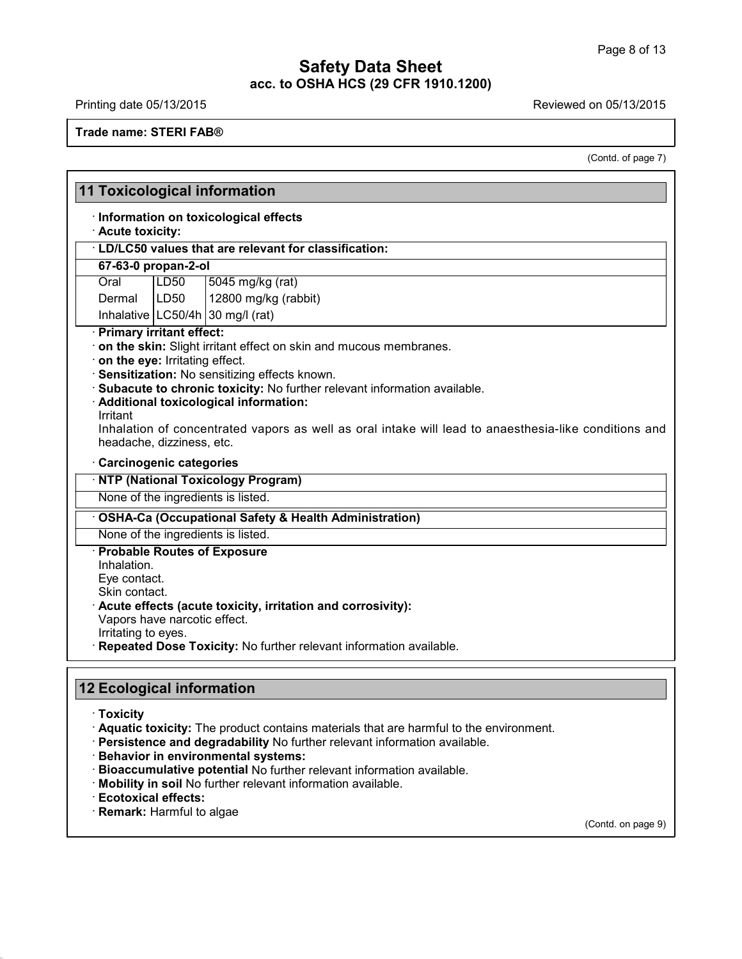Printing date 05/13/2015 **Printing date 05/13/2015** 

**Trade name: STERI FAB®**

(Contd. of page 7)

٦

|                                                                                                                                      |                  | <b>11 Toxicological information</b>                                                                                                                                                                                                                                                                                                                     |
|--------------------------------------------------------------------------------------------------------------------------------------|------------------|---------------------------------------------------------------------------------------------------------------------------------------------------------------------------------------------------------------------------------------------------------------------------------------------------------------------------------------------------------|
| · Acute toxicity:                                                                                                                    |                  | · Information on toxicological effects                                                                                                                                                                                                                                                                                                                  |
|                                                                                                                                      |                  | · LD/LC50 values that are relevant for classification:                                                                                                                                                                                                                                                                                                  |
| 67-63-0 propan-2-ol                                                                                                                  |                  |                                                                                                                                                                                                                                                                                                                                                         |
| Oral                                                                                                                                 | LD50             | 5045 mg/kg (rat)                                                                                                                                                                                                                                                                                                                                        |
| Dermal                                                                                                                               | LD <sub>50</sub> | 12800 mg/kg (rabbit)                                                                                                                                                                                                                                                                                                                                    |
|                                                                                                                                      |                  | Inhalative $\lfloor$ LC50/4h $\rfloor$ 30 mg/l (rat)                                                                                                                                                                                                                                                                                                    |
| · Primary irritant effect:<br>on the eye: Irritating effect.<br>Irritant<br>headache, dizziness, etc.                                |                  | · on the skin: Slight irritant effect on skin and mucous membranes.<br>· Sensitization: No sensitizing effects known.<br>· Subacute to chronic toxicity: No further relevant information available.<br>· Additional toxicological information:<br>Inhalation of concentrated vapors as well as oral intake will lead to anaesthesia-like conditions and |
| · Carcinogenic categories                                                                                                            |                  | · NTP (National Toxicology Program)<br>None of the ingredients is listed.                                                                                                                                                                                                                                                                               |
|                                                                                                                                      |                  | · OSHA-Ca (Occupational Safety & Health Administration)                                                                                                                                                                                                                                                                                                 |
|                                                                                                                                      |                  | None of the ingredients is listed.                                                                                                                                                                                                                                                                                                                      |
| · Probable Routes of Exposure<br>Inhalation.<br>Eye contact.<br>Skin contact.<br>Vapors have narcotic effect.<br>Irritating to eyes. |                  | Acute effects (acute toxicity, irritation and corrosivity):<br>Repeated Dose Toxicity: No further relevant information available.                                                                                                                                                                                                                       |
| <b>12 Ecological information</b><br>· Toxicity                                                                                       |                  | Aquatic toxicity: The product contains materials that are harmful to the environment.<br>· Persistence and degradability No further relevant information available.                                                                                                                                                                                     |
|                                                                                                                                      |                  | · Behavior in environmental systems:<br>· Bioaccumulative potential No further relevant information available.<br>· Mobility in soil No further relevant information available.                                                                                                                                                                         |

· **Ecotoxical effects:**

40.1.5

· **Remark:** Harmful to algae

(Contd. on page 9)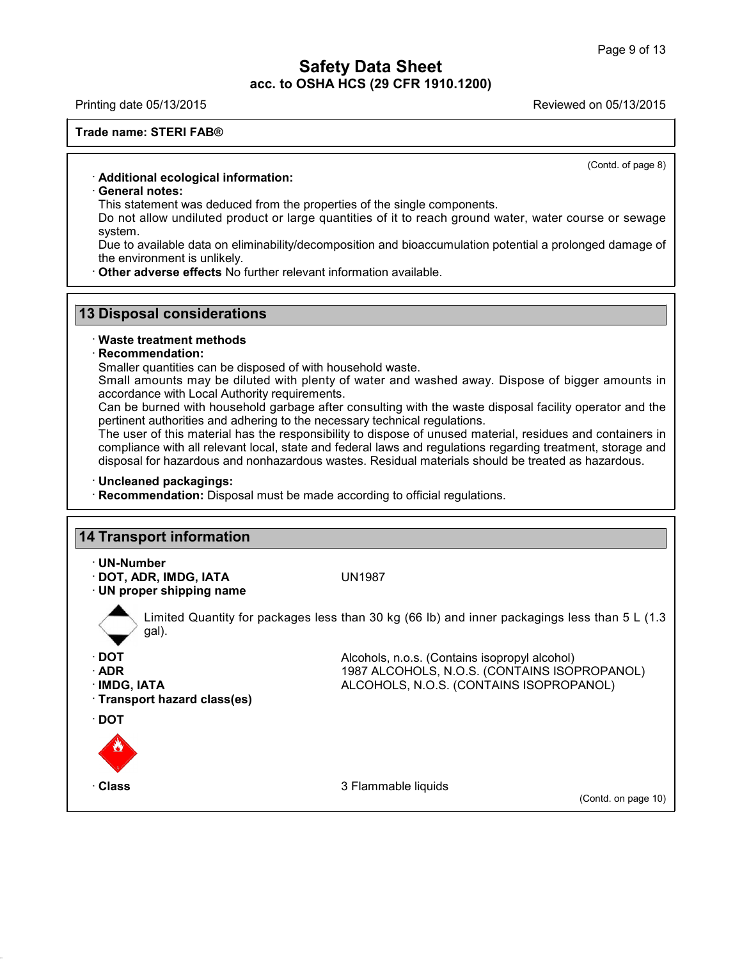Printing date 05/13/2015 Reviewed on 05/13/2015

#### **Trade name: STERI FAB®**

(Contd. of page 8)

#### · **Additional ecological information:**

#### · **General notes:**

This statement was deduced from the properties of the single components.

Do not allow undiluted product or large quantities of it to reach ground water, water course or sewage system.

Due to available data on eliminability/decomposition and bioaccumulation potential a prolonged damage of the environment is unlikely.

· **Other adverse effects** No further relevant information available.

#### **13 Disposal considerations**

#### · **Waste treatment methods**

#### · **Recommendation:**

Smaller quantities can be disposed of with household waste.

Small amounts may be diluted with plenty of water and washed away. Dispose of bigger amounts in accordance with Local Authority requirements.

Can be burned with household garbage after consulting with the waste disposal facility operator and the pertinent authorities and adhering to the necessary technical regulations.

The user of this material has the responsibility to dispose of unused material, residues and containers in compliance with all relevant local, state and federal laws and regulations regarding treatment, storage and disposal for hazardous and nonhazardous wastes. Residual materials should be treated as hazardous.

#### · **Uncleaned packagings:**

40.1.5

· **Recommendation:** Disposal must be made according to official regulations.

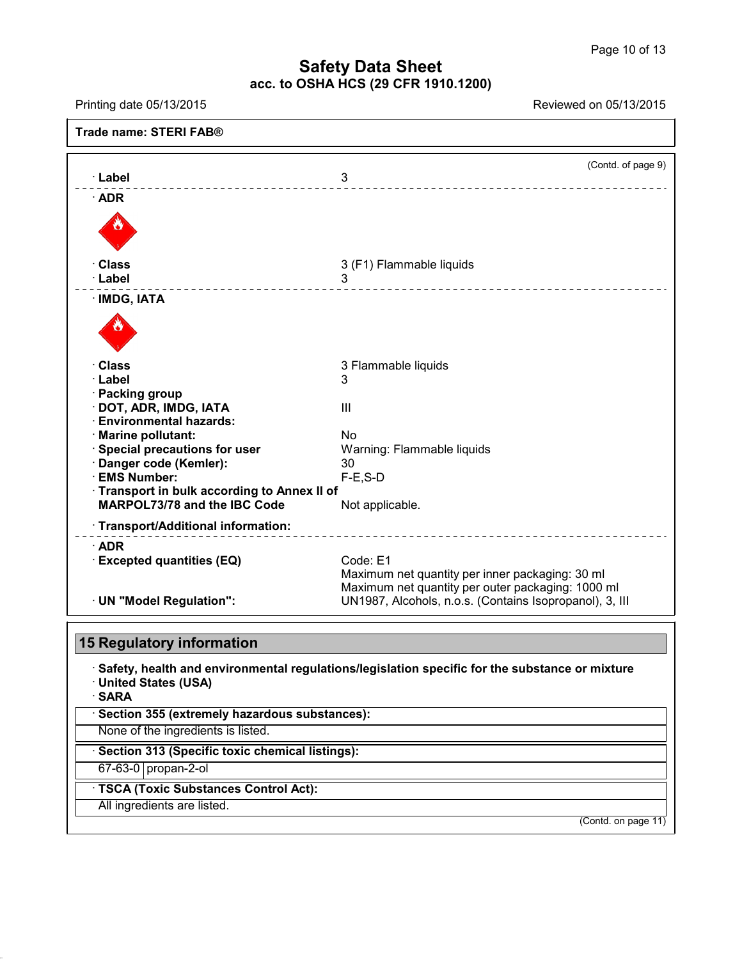| Printing date 05/13/2015                          | Reviewed on 05/13/2015                                                                                       |
|---------------------------------------------------|--------------------------------------------------------------------------------------------------------------|
| Trade name: STERI FAB®                            |                                                                                                              |
| · Label                                           | (Contd. of page 9)<br>3                                                                                      |
| $\cdot$ ADR                                       | _____________________________                                                                                |
|                                                   |                                                                                                              |
| · Class                                           | 3 (F1) Flammable liquids                                                                                     |
| ∙ Label                                           | 3<br>___________________                                                                                     |
| · IMDG, IATA                                      |                                                                                                              |
| · Class                                           | 3 Flammable liquids                                                                                          |
| · Label                                           | 3                                                                                                            |
| · Packing group<br>DOT, ADR, IMDG, IATA           | Ш                                                                                                            |
| <b>Environmental hazards:</b>                     |                                                                                                              |
| · Marine pollutant:                               | <b>No</b>                                                                                                    |
| Special precautions for user                      | Warning: Flammable liquids                                                                                   |
| Danger code (Kemler):                             | 30                                                                                                           |
| · EMS Number:                                     | $F-E$ , $S-D$                                                                                                |
| · Transport in bulk according to Annex II of      |                                                                                                              |
| MARPOL73/78 and the IBC Code                      | Not applicable.                                                                                              |
| · Transport/Additional information:               | ________________________                                                                                     |
| $\cdot$ ADR                                       |                                                                                                              |
| <b>Excepted quantities (EQ)</b>                   | Code: E1                                                                                                     |
|                                                   | Maximum net quantity per inner packaging: 30 ml                                                              |
| · UN "Model Regulation":                          | Maximum net quantity per outer packaging: 1000 ml<br>UN1987, Alcohols, n.o.s. (Contains Isopropanol), 3, III |
|                                                   |                                                                                                              |
| <b>15 Regulatory information</b>                  |                                                                                                              |
| · United States (USA)<br>· SARA                   | $\cdot$ Safety, health and environmental regulations/legislation specific for the substance or mixture       |
| · Section 355 (extremely hazardous substances):   |                                                                                                              |
| None of the ingredients is listed.                |                                                                                                              |
| · Section 313 (Specific toxic chemical listings): |                                                                                                              |
| 67-63-0 propan-2-ol                               |                                                                                                              |
|                                                   |                                                                                                              |
| · TSCA (Toxic Substances Control Act):            |                                                                                                              |

40.1.5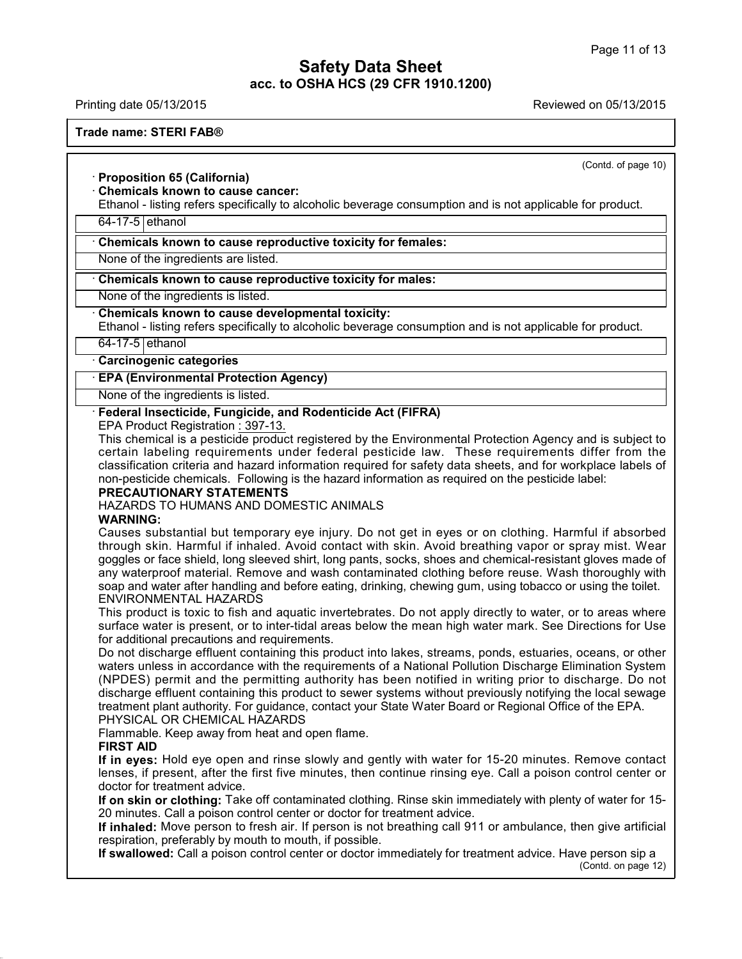Printing date 05/13/2015 Reviewed on 05/13/2015

**Trade name: STERI FAB®**

(Contd. of page 10)

## · **Proposition 65 (California)**

## · **Chemicals known to cause cancer:**

Ethanol - listing refers specifically to alcoholic beverage consumption and is notapplicable for product.

64-17-5 ethanol

#### · **Chemicals known to cause reproductive toxicity for females:**

None of the ingredients are listed.

## · **Chemicals known to cause reproductive toxicity for males:**

None of the ingredients is listed.

#### · **Chemicals known to cause developmental toxicity:**

Ethanol - listing refers specifically to alcoholic beverage consumption and is not applicable for product.

64-17-5 ethanol

#### · **Carcinogenic categories**

#### · **EPA (Environmental Protection Agency)**

None of the ingredients is listed.

#### · **Federal Insecticide, Fungicide, and Rodenticide Act (FIFRA)**

EPA Product Registration : 397-13.

This chemical is a pesticide product registered by the Environmental Protection Agency and is subject to certain labeling requirements under federal pesticide law. These requirements differ from the classification criteria and hazard information required for safety data sheets, and for workplace labels of non-pesticide chemicals. Following is the hazard information as required on the pesticide label:

#### **PRECAUTIONARY STATEMENTS**

HAZARDS TO HUMANS AND DOMESTIC ANIMALS

#### **WARNING:**

Causes substantial but temporary eye injury. Do not get in eyes or on clothing. Harmful if absorbed through skin. Harmful if inhaled. Avoid contact with skin. Avoid breathing vapor or spray mist. Wear goggles orface shield, long sleeved shirt, long pants, socks, shoes and chemical-resistant gloves made of any waterproof material. Remove and wash contaminated clothing before reuse. Wash thoroughly with soap and water after handling and before eating, drinking, chewing gum, using tobacco or using the toilet. ENVIRONMENTAL HAZARDS

This product is toxic to fish and aquatic invertebrates. Do not apply directly to water, or to areas where surface water is present, or to inter-tidal areas below the mean high water mark. See Directions for Use for additional precautions and requirements.

Do not discharge effluent containing this product into lakes, streams, ponds, estuaries, oceans, or other waters unless in accordance with the requirements of a National Pollution Discharge Elimination System (NPDES) permit and the permitting authority has been notified in writing prior to discharge. Do not discharge effluent containing this product to sewer systems without previously notifying the local sewage treatment plant authority. For guidance, contact your State Water Board or Regional Office of the EPA. PHYSICAL OR CHEMICAL HAZARDS

Flammable. Keep away from heat and open flame.

#### **FIRST AID**

40.1.5

**If in eyes:** Hold eye open and rinse slowly and gently with water for 15-20 minutes. Remove contact lenses, if present, after the first five minutes, then continue rinsing eye. Call a poison control center or doctor for treatment advice.

**If on skin or clothing:** Take off contaminated clothing. Rinse skin immediately with plenty of water for 15- 20 minutes. Call a poison control center or doctor for treatment advice.

**If inhaled:** Move person to fresh air. If person is not breathing call 911 or ambulance, then give artificial respiration, preferably by mouth to mouth, if possible.

**If swallowed:** Call a poison control center or doctor immediately for treatment advice. Have person sip a (Contd. on page 12)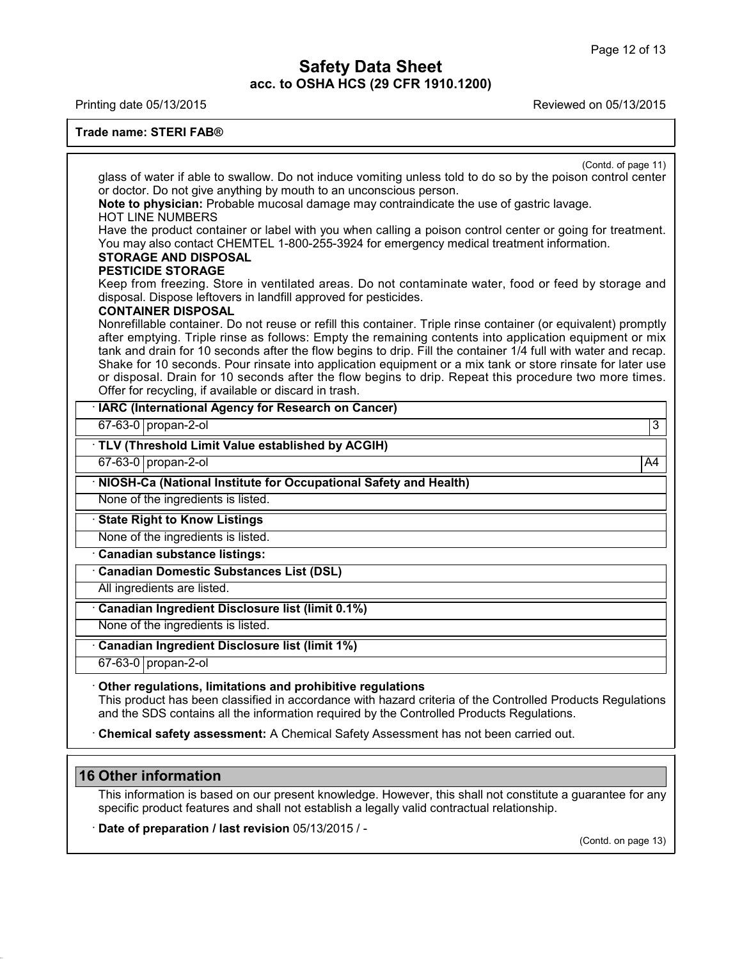Printing date 05/13/2015 Reviewed on 05/13/2015

#### **Trade name: STERI FAB®**

| (Contd. of page 11)                                                                                                                                                                                                                                                                                                                                                                                                                                                                                                                                                                                                            |    |
|--------------------------------------------------------------------------------------------------------------------------------------------------------------------------------------------------------------------------------------------------------------------------------------------------------------------------------------------------------------------------------------------------------------------------------------------------------------------------------------------------------------------------------------------------------------------------------------------------------------------------------|----|
| glass of water if able to swallow. Do not induce vomiting unless told to do so by the poison control center                                                                                                                                                                                                                                                                                                                                                                                                                                                                                                                    |    |
| or doctor. Do not give anything by mouth to an unconscious person.                                                                                                                                                                                                                                                                                                                                                                                                                                                                                                                                                             |    |
| Note to physician: Probable mucosal damage may contraindicate the use of gastric lavage.<br><b>HOT LINE NUMBERS</b>                                                                                                                                                                                                                                                                                                                                                                                                                                                                                                            |    |
| Have the product container or label with you when calling a poison control center or going for treatment.<br>You may also contact CHEMTEL 1-800-255-3924 for emergency medical treatment information.<br><b>STORAGE AND DISPOSAL</b><br><b>PESTICIDE STORAGE</b>                                                                                                                                                                                                                                                                                                                                                               |    |
| Keep from freezing. Store in ventilated areas. Do not contaminate water, food or feed by storage and<br>disposal. Dispose leftovers in landfill approved for pesticides.<br><b>CONTAINER DISPOSAL</b>                                                                                                                                                                                                                                                                                                                                                                                                                          |    |
| Nonrefillable container. Do not reuse or refill this container. Triple rinse container (or equivalent) promptly<br>after emptying. Triple rinse as follows: Empty the remaining contents into application equipment or mix<br>tank and drain for 10 seconds after the flow begins to drip. Fill the container 1/4 full with water and recap.<br>Shake for 10 seconds. Pour rinsate into application equipment or a mix tank or store rinsate for later use<br>or disposal. Drain for 10 seconds after the flow begins to drip. Repeat this procedure two more times.<br>Offer for recycling, if available or discard in trash. |    |
| · IARC (International Agency for Research on Cancer)                                                                                                                                                                                                                                                                                                                                                                                                                                                                                                                                                                           |    |
| 67-63-0 propan-2-ol                                                                                                                                                                                                                                                                                                                                                                                                                                                                                                                                                                                                            | 3  |
| · TLV (Threshold Limit Value established by ACGIH)                                                                                                                                                                                                                                                                                                                                                                                                                                                                                                                                                                             |    |
| 67-63-0 propan-2-ol                                                                                                                                                                                                                                                                                                                                                                                                                                                                                                                                                                                                            | A4 |
| · NIOSH-Ca (National Institute for Occupational Safety and Health)                                                                                                                                                                                                                                                                                                                                                                                                                                                                                                                                                             |    |
| None of the ingredients is listed.                                                                                                                                                                                                                                                                                                                                                                                                                                                                                                                                                                                             |    |
| <b>State Right to Know Listings</b>                                                                                                                                                                                                                                                                                                                                                                                                                                                                                                                                                                                            |    |
| None of the ingredients is listed.                                                                                                                                                                                                                                                                                                                                                                                                                                                                                                                                                                                             |    |
| Canadian substance listings:                                                                                                                                                                                                                                                                                                                                                                                                                                                                                                                                                                                                   |    |
| <b>Canadian Domestic Substances List (DSL)</b>                                                                                                                                                                                                                                                                                                                                                                                                                                                                                                                                                                                 |    |
| All ingredients are listed.                                                                                                                                                                                                                                                                                                                                                                                                                                                                                                                                                                                                    |    |
| Canadian Ingredient Disclosure list (limit 0.1%)                                                                                                                                                                                                                                                                                                                                                                                                                                                                                                                                                                               |    |
| None of the ingredients is listed.                                                                                                                                                                                                                                                                                                                                                                                                                                                                                                                                                                                             |    |
| Canadian Ingredient Disclosure list (limit 1%)                                                                                                                                                                                                                                                                                                                                                                                                                                                                                                                                                                                 |    |
|                                                                                                                                                                                                                                                                                                                                                                                                                                                                                                                                                                                                                                |    |

· **Chemical safety assessment:** A Chemical Safety Assessment has not been carried out.

# **16 Other information**

40.1.5

This information is based on our present knowledge. However, this shall not constitute a guarantee for any specific product features and shall not establish a legally valid contractual relationship.

· **Date of preparation / last revision** 05/13/2015 / -

(Contd. on page 13)